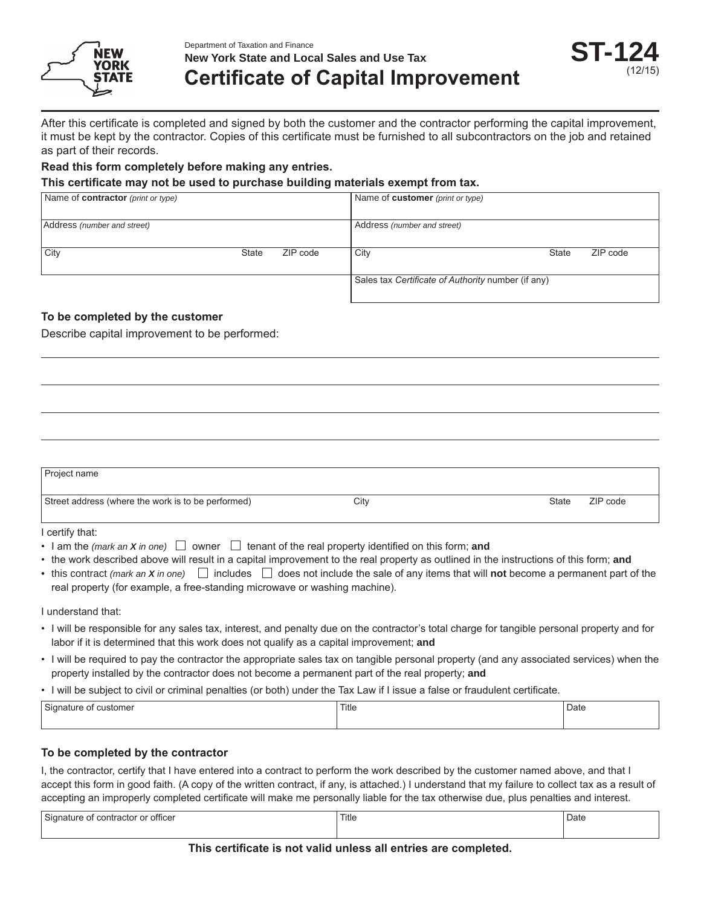

Department of Taxation and Finance **New York State and Local Sales and Use Tax**

# **Certificate of Capital Improvement**

After this certificate is completed and signed by both the customer and the contractor performing the capital improvement, it must be kept by the contractor. Copies of this certificate must be furnished to all subcontractors on the job and retained as part of their records.

### **Read this form completely before making any entries.**

### **This certificate may not be used to purchase building materials exempt from tax.**

| Name of <b>contractor</b> (print or type) |              |          | Name of customer (print or type)                   |              |          |
|-------------------------------------------|--------------|----------|----------------------------------------------------|--------------|----------|
| Address (number and street)               |              |          | Address (number and street)                        |              |          |
| City                                      | <b>State</b> | ZIP code | City                                               | <b>State</b> | ZIP code |
|                                           |              |          | Sales tax Certificate of Authority number (if any) |              |          |

### **To be completed by the customer**

Describe capital improvement to be performed:

| Project name                                       |      |       |          |
|----------------------------------------------------|------|-------|----------|
| Street address (where the work is to be performed) | City | State | ZIP code |

I certify that:

- I am the *(mark an X in one)*  $\Box$  owner  $\Box$  tenant of the real property identified on this form; and
- the work described above will result in a capital improvement to the real property as outlined in the instructions of this form; **and**
- this contract *(mark an X in one)*  $\Box$  includes  $\Box$  does not include the sale of any items that will **not** become a permanent part of the real property (for example, a free-standing microwave or washing machine).

I understand that:

- I will be responsible for any sales tax, interest, and penalty due on the contractor's total charge for tangible personal property and for labor if it is determined that this work does not qualify as a capital improvement; **and**
- I will be required to pay the contractor the appropriate sales tax on tangible personal property (and any associated services) when the property installed by the contractor does not become a permanent part of the real property; **and**
- I will be subject to civil or criminal penalties (or both) under the Tax Law if I issue a false or fraudulent certificate.

| Signature<br>customer<br>ΩT | Title | Date |
|-----------------------------|-------|------|
|                             |       |      |

### **To be completed by the contractor**

I, the contractor, certify that I have entered into a contract to perform the work described by the customer named above, and that I accept this form in good faith. (A copy of the written contract, if any, is attached.) I understand that my failure to collect tax as a result of accepting an improperly completed certificate will make me personally liable for the tax otherwise due, plus penalties and interest.

| Signature<br><br>∵officer<br>contractor<br>$\sim$<br>≅ ال∪ب<br>v | Title | Date |
|------------------------------------------------------------------|-------|------|
|                                                                  |       |      |

### **This certificate is not valid unless all entries are completed.**